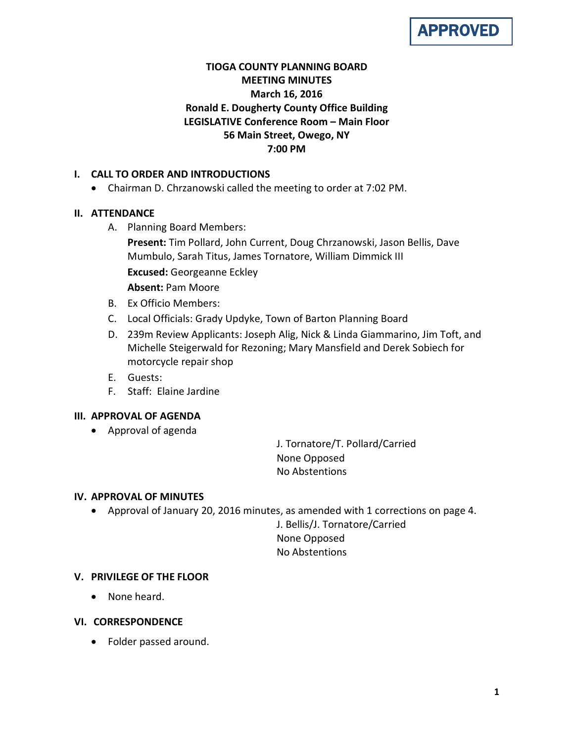

# **TIOGA COUNTY PLANNING BOARD MEETING MINUTES March 16, 2016 Ronald E. Dougherty County Office Building LEGISLATIVE Conference Room – Main Floor 56 Main Street, Owego, NY 7:00 PM**

## **I. CALL TO ORDER AND INTRODUCTIONS**

• Chairman D. Chrzanowski called the meeting to order at 7:02 PM.

## **II. ATTENDANCE**

- A. Planning Board Members:
	- **Present:** Tim Pollard, John Current, Doug Chrzanowski, Jason Bellis, Dave Mumbulo, Sarah Titus, James Tornatore, William Dimmick III **Excused:** Georgeanne Eckley **Absent:** Pam Moore
- B. Ex Officio Members:
- C. Local Officials: Grady Updyke, Town of Barton Planning Board
- D. 239m Review Applicants: Joseph Alig, Nick & Linda Giammarino, Jim Toft, and Michelle Steigerwald for Rezoning; Mary Mansfield and Derek Sobiech for motorcycle repair shop
- E. Guests:
- F. Staff: Elaine Jardine

#### **III. APPROVAL OF AGENDA**

• Approval of agenda

J. Tornatore/T. Pollard/Carried None Opposed No Abstentions

#### **IV. APPROVAL OF MINUTES**

• Approval of January 20, 2016 minutes, as amended with 1 corrections on page 4.

J. Bellis/J. Tornatore/Carried None Opposed No Abstentions

#### **V. PRIVILEGE OF THE FLOOR**

- None heard.
- **VI. CORRESPONDENCE**
	- Folder passed around.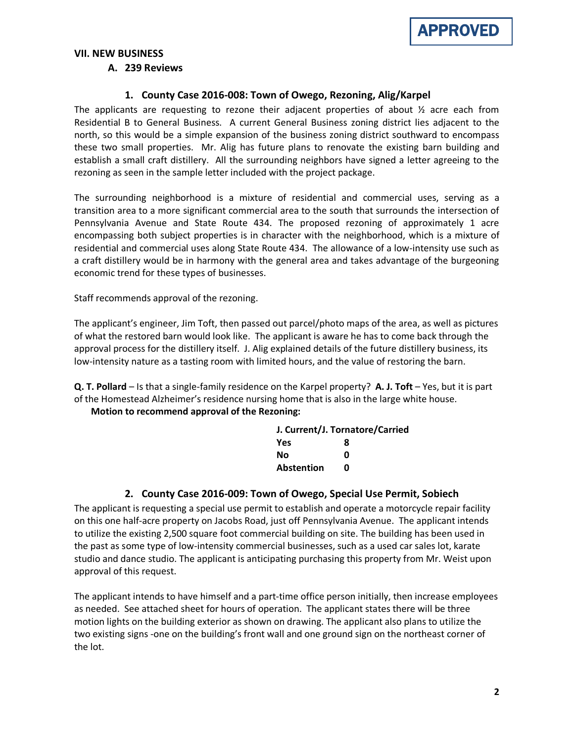

## **VII. NEW BUSINESS**

#### **A. 239 Reviews**

#### **1. County Case 2016-008: Town of Owego, Rezoning, Alig/Karpel**

The applicants are requesting to rezone their adjacent properties of about  $\frac{1}{2}$  acre each from Residential B to General Business. A current General Business zoning district lies adjacent to the north, so this would be a simple expansion of the business zoning district southward to encompass these two small properties. Mr. Alig has future plans to renovate the existing barn building and establish a small craft distillery. All the surrounding neighbors have signed a letter agreeing to the rezoning as seen in the sample letter included with the project package.

The surrounding neighborhood is a mixture of residential and commercial uses, serving as a transition area to a more significant commercial area to the south that surrounds the intersection of Pennsylvania Avenue and State Route 434. The proposed rezoning of approximately 1 acre encompassing both subject properties is in character with the neighborhood, which is a mixture of residential and commercial uses along State Route 434. The allowance of a low-intensity use such as a craft distillery would be in harmony with the general area and takes advantage of the burgeoning economic trend for these types of businesses.

Staff recommends approval of the rezoning.

The applicant's engineer, Jim Toft, then passed out parcel/photo maps of the area, as well as pictures of what the restored barn would look like. The applicant is aware he has to come back through the approval process for the distillery itself. J. Alig explained details of the future distillery business, its low-intensity nature as a tasting room with limited hours, and the value of restoring the barn.

**Q. T. Pollard** – Is that a single-family residence on the Karpel property? **A. J. Toft** – Yes, but it is part of the Homestead Alzheimer's residence nursing home that is also in the large white house.

**Motion to recommend approval of the Rezoning:**

| J. Current/J. Tornatore/Carried |   |  |
|---------------------------------|---|--|
| Yes                             | 8 |  |
| Nο                              | n |  |
| <b>Abstention</b>               | n |  |

#### **2. County Case 2016-009: Town of Owego, Special Use Permit, Sobiech**

The applicant is requesting a special use permit to establish and operate a motorcycle repair facility on this one half-acre property on Jacobs Road, just off Pennsylvania Avenue. The applicant intends to utilize the existing 2,500 square foot commercial building on site. The building has been used in the past as some type of low-intensity commercial businesses, such as a used car sales lot, karate studio and dance studio. The applicant is anticipating purchasing this property from Mr. Weist upon approval of this request.

The applicant intends to have himself and a part-time office person initially, then increase employees as needed. See attached sheet for hours of operation. The applicant states there will be three motion lights on the building exterior as shown on drawing. The applicant also plans to utilize the two existing signs -one on the building's front wall and one ground sign on the northeast corner of the lot.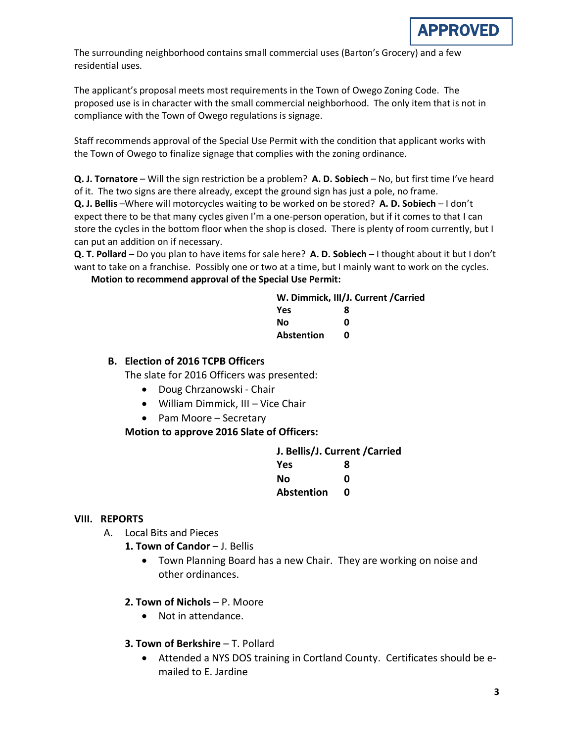

The surrounding neighborhood contains small commercial uses (Barton's Grocery) and a few residential uses.

The applicant's proposal meets most requirements in the Town of Owego Zoning Code. The proposed use is in character with the small commercial neighborhood. The only item that is not in compliance with the Town of Owego regulations is signage.

Staff recommends approval of the Special Use Permit with the condition that applicant works with the Town of Owego to finalize signage that complies with the zoning ordinance.

**Q. J. Tornatore** – Will the sign restriction be a problem? **A. D. Sobiech** – No, but first time I've heard of it. The two signs are there already, except the ground sign has just a pole, no frame.

**Q. J. Bellis** –Where will motorcycles waiting to be worked on be stored? **A. D. Sobiech** – I don't expect there to be that many cycles given I'm a one-person operation, but if it comes to that I can store the cycles in the bottom floor when the shop is closed. There is plenty of room currently, but I can put an addition on if necessary.

**Q. T. Pollard** – Do you plan to have items for sale here? **A. D. Sobiech** – I thought about it but I don't want to take on a franchise. Possibly one or two at a time, but I mainly want to work on the cycles.

**Motion to recommend approval of the Special Use Permit:**

| W. Dimmick, III/J. Current / Carried |   |  |
|--------------------------------------|---|--|
| <b>Yes</b>                           | 8 |  |
| Nο                                   | n |  |
| <b>Abstention</b>                    | n |  |

#### **B. Election of 2016 TCPB Officers**

The slate for 2016 Officers was presented:

- Doug Chrzanowski Chair
- William Dimmick, III Vice Chair
- Pam Moore Secretary

**Motion to approve 2016 Slate of Officers:**

| J. Bellis/J. Current / Carried |   |  |
|--------------------------------|---|--|
| <b>Yes</b>                     | 8 |  |
| Nο                             | ŋ |  |
| <b>Abstention</b>              | n |  |

#### **VIII. REPORTS**

- A. Local Bits and Pieces
	- 1. Town of Candor J. Bellis
		- Town Planning Board has a new Chair. They are working on noise and other ordinances.

#### **2. Town of Nichols** – P. Moore

- Not in attendance.
- **3. Town of Berkshire T. Pollard** 
	- Attended a NYS DOS training in Cortland County. Certificates should be emailed to E. Jardine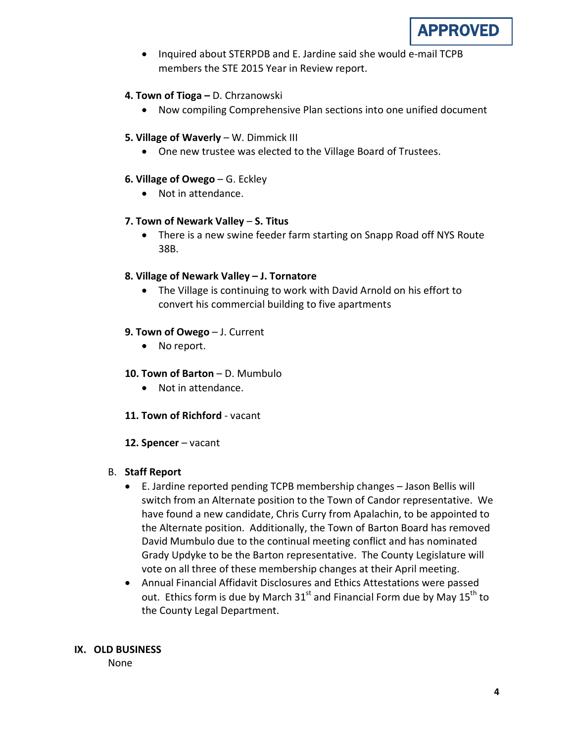

• Inquired about STERPDB and E. Jardine said she would e-mail TCPB members the STE 2015 Year in Review report.

#### **4. Town of Tioga –** D. Chrzanowski

• Now compiling Comprehensive Plan sections into one unified document

### **5. Village of Waverly** – W. Dimmick III

• One new trustee was elected to the Village Board of Trustees.

#### **6. Village of Owego** – G. Eckley

• Not in attendance.

#### **7. Town of Newark Valley** – **S. Titus**

• There is a new swine feeder farm starting on Snapp Road off NYS Route 38B.

## **8. Village of Newark Valley – J. Tornatore**

• The Village is continuing to work with David Arnold on his effort to convert his commercial building to five apartments

## **9. Town of Owego** – J. Current

• No report.

### **10. Town of Barton** – D. Mumbulo

- Not in attendance.
- **11. Town of Richford** vacant
- **12. Spencer** vacant

#### B. **Staff Report**

- E. Jardine reported pending TCPB membership changes Jason Bellis will switch from an Alternate position to the Town of Candor representative. We have found a new candidate, Chris Curry from Apalachin, to be appointed to the Alternate position. Additionally, the Town of Barton Board has removed David Mumbulo due to the continual meeting conflict and has nominated Grady Updyke to be the Barton representative. The County Legislature will vote on all three of these membership changes at their April meeting.
- Annual Financial Affidavit Disclosures and Ethics Attestations were passed out. Ethics form is due by March  $31<sup>st</sup>$  and Financial Form due by May  $15<sup>th</sup>$  to the County Legal Department.

#### **IX. OLD BUSINESS**

None